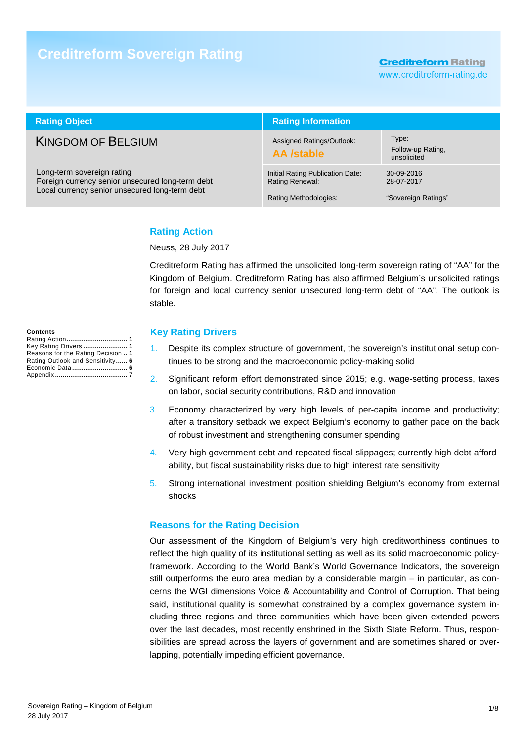# **Creditreform Sovereign Rating**

**Creditreform Rating** 

www.creditreform-rating.de

| <b>Rating Object</b>                                                                                                             | <b>Rating Information</b>                                                    |                                                 |  |  |
|----------------------------------------------------------------------------------------------------------------------------------|------------------------------------------------------------------------------|-------------------------------------------------|--|--|
| <b>KINGDOM OF BELGIUM</b>                                                                                                        | Assigned Ratings/Outlook:<br><b>AA</b> /stable                               | Type:<br>Follow-up Rating,<br>unsolicited       |  |  |
| Long-term sovereign rating<br>Foreign currency senior unsecured long-term debt<br>Local currency senior unsecured long-term debt | Initial Rating Publication Date:<br>Rating Renewal:<br>Rating Methodologies: | 30-09-2016<br>28-07-2017<br>"Sovereign Ratings" |  |  |

# **Rating Action**

Neuss, 28 July 2017

Creditreform Rating has affirmed the unsolicited long-term sovereign rating of "AA" for the Kingdom of Belgium. Creditreform Rating has also affirmed Belgium's unsolicited ratings for foreign and local currency senior unsecured long-term debt of "AA". The outlook is stable.

#### **Key Rating Drivers**

- 1. Despite its complex structure of government, the sovereign's institutional setup continues to be strong and the macroeconomic policy-making solid
- 2. Significant reform effort demonstrated since 2015; e.g. wage-setting process, taxes on labor, social security contributions, R&D and innovation
- 3. Economy characterized by very high levels of per-capita income and productivity; after a transitory setback we expect Belgium's economy to gather pace on the back of robust investment and strengthening consumer spending
- 4. Very high government debt and repeated fiscal slippages; currently high debt affordability, but fiscal sustainability risks due to high interest rate sensitivity
- 5. Strong international investment position shielding Belgium's economy from external shocks

### **Reasons for the Rating Decision**

Our assessment of the Kingdom of Belgium's very high creditworthiness continues to reflect the high quality of its institutional setting as well as its solid macroeconomic policyframework. According to the World Bank's World Governance Indicators, the sovereign still outperforms the euro area median by a considerable margin – in particular, as concerns the WGI dimensions Voice & Accountability and Control of Corruption. That being said, institutional quality is somewhat constrained by a complex governance system including three regions and three communities which have been given extended powers over the last decades, most recently enshrined in the Sixth State Reform. Thus, responsibilities are spread across the layers of government and are sometimes shared or overlapping, potentially impeding efficient governance.

**Contents**  Rating Action **................................ 1** Key Rating Drivers **....................... 1** Reasons for the Rating Decision **.. 1** Rating Outlook and Sensitivity **...... 6** Economic Data **............................. 6** Appendix **...................................... 7**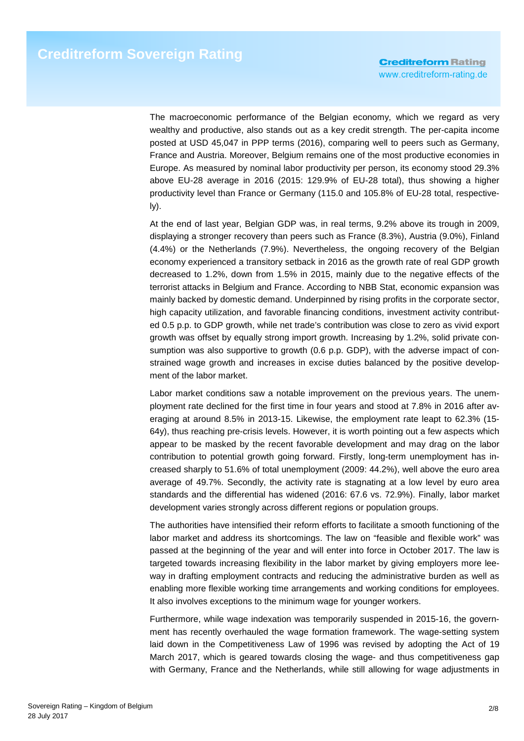The macroeconomic performance of the Belgian economy, which we regard as very wealthy and productive, also stands out as a key credit strength. The per-capita income posted at USD 45,047 in PPP terms (2016), comparing well to peers such as Germany, France and Austria. Moreover, Belgium remains one of the most productive economies in Europe. As measured by nominal labor productivity per person, its economy stood 29.3% above EU-28 average in 2016 (2015: 129.9% of EU-28 total), thus showing a higher productivity level than France or Germany (115.0 and 105.8% of EU-28 total, respectively).

At the end of last year, Belgian GDP was, in real terms, 9.2% above its trough in 2009, displaying a stronger recovery than peers such as France (8.3%), Austria (9.0%), Finland (4.4%) or the Netherlands (7.9%). Nevertheless, the ongoing recovery of the Belgian economy experienced a transitory setback in 2016 as the growth rate of real GDP growth decreased to 1.2%, down from 1.5% in 2015, mainly due to the negative effects of the terrorist attacks in Belgium and France. According to NBB Stat, economic expansion was mainly backed by domestic demand. Underpinned by rising profits in the corporate sector, high capacity utilization, and favorable financing conditions, investment activity contributed 0.5 p.p. to GDP growth, while net trade's contribution was close to zero as vivid export growth was offset by equally strong import growth. Increasing by 1.2%, solid private consumption was also supportive to growth (0.6 p.p. GDP), with the adverse impact of constrained wage growth and increases in excise duties balanced by the positive development of the labor market.

Labor market conditions saw a notable improvement on the previous years. The unemployment rate declined for the first time in four years and stood at 7.8% in 2016 after averaging at around 8.5% in 2013-15. Likewise, the employment rate leapt to 62.3% (15- 64y), thus reaching pre-crisis levels. However, it is worth pointing out a few aspects which appear to be masked by the recent favorable development and may drag on the labor contribution to potential growth going forward. Firstly, long-term unemployment has increased sharply to 51.6% of total unemployment (2009: 44.2%), well above the euro area average of 49.7%. Secondly, the activity rate is stagnating at a low level by euro area standards and the differential has widened (2016: 67.6 vs. 72.9%). Finally, labor market development varies strongly across different regions or population groups.

The authorities have intensified their reform efforts to facilitate a smooth functioning of the labor market and address its shortcomings. The law on "feasible and flexible work" was passed at the beginning of the year and will enter into force in October 2017. The law is targeted towards increasing flexibility in the labor market by giving employers more leeway in drafting employment contracts and reducing the administrative burden as well as enabling more flexible working time arrangements and working conditions for employees. It also involves exceptions to the minimum wage for younger workers.

Furthermore, while wage indexation was temporarily suspended in 2015-16, the government has recently overhauled the wage formation framework. The wage-setting system laid down in the Competitiveness Law of 1996 was revised by adopting the Act of 19 March 2017, which is geared towards closing the wage- and thus competitiveness gap with Germany, France and the Netherlands, while still allowing for wage adjustments in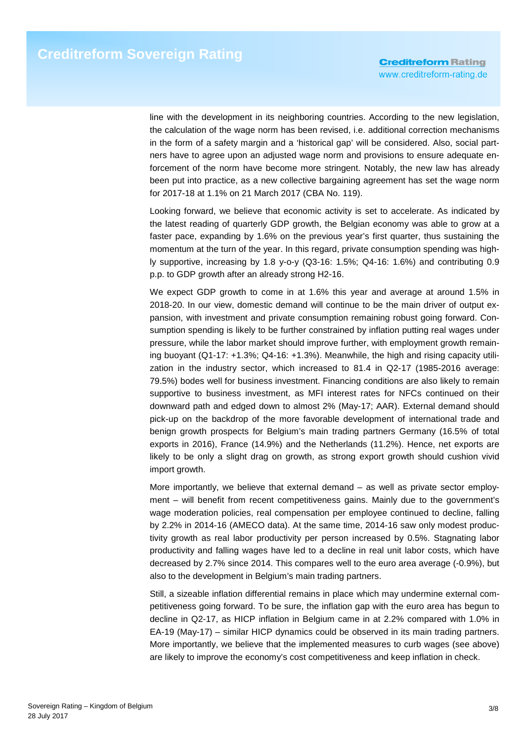line with the development in its neighboring countries. According to the new legislation, the calculation of the wage norm has been revised, i.e. additional correction mechanisms in the form of a safety margin and a 'historical gap' will be considered. Also, social partners have to agree upon an adjusted wage norm and provisions to ensure adequate enforcement of the norm have become more stringent. Notably, the new law has already been put into practice, as a new collective bargaining agreement has set the wage norm for 2017-18 at 1.1% on 21 March 2017 (CBA No. 119).

Looking forward, we believe that economic activity is set to accelerate. As indicated by the latest reading of quarterly GDP growth, the Belgian economy was able to grow at a faster pace, expanding by 1.6% on the previous year's first quarter, thus sustaining the momentum at the turn of the year. In this regard, private consumption spending was highly supportive, increasing by 1.8 y-o-y (Q3-16: 1.5%; Q4-16: 1.6%) and contributing 0.9 p.p. to GDP growth after an already strong H2-16.

We expect GDP growth to come in at 1.6% this year and average at around 1.5% in 2018-20. In our view, domestic demand will continue to be the main driver of output expansion, with investment and private consumption remaining robust going forward. Consumption spending is likely to be further constrained by inflation putting real wages under pressure, while the labor market should improve further, with employment growth remaining buoyant (Q1-17: +1.3%; Q4-16: +1.3%). Meanwhile, the high and rising capacity utilization in the industry sector, which increased to 81.4 in Q2-17 (1985-2016 average: 79.5%) bodes well for business investment. Financing conditions are also likely to remain supportive to business investment, as MFI interest rates for NFCs continued on their downward path and edged down to almost 2% (May-17; AAR). External demand should pick-up on the backdrop of the more favorable development of international trade and benign growth prospects for Belgium's main trading partners Germany (16.5% of total exports in 2016), France (14.9%) and the Netherlands (11.2%). Hence, net exports are likely to be only a slight drag on growth, as strong export growth should cushion vivid import growth.

More importantly, we believe that external demand – as well as private sector employment – will benefit from recent competitiveness gains. Mainly due to the government's wage moderation policies, real compensation per employee continued to decline, falling by 2.2% in 2014-16 (AMECO data). At the same time, 2014-16 saw only modest productivity growth as real labor productivity per person increased by 0.5%. Stagnating labor productivity and falling wages have led to a decline in real unit labor costs, which have decreased by 2.7% since 2014. This compares well to the euro area average (-0.9%), but also to the development in Belgium's main trading partners.

Still, a sizeable inflation differential remains in place which may undermine external competitiveness going forward. To be sure, the inflation gap with the euro area has begun to decline in Q2-17, as HICP inflation in Belgium came in at 2.2% compared with 1.0% in EA-19 (May-17) – similar HICP dynamics could be observed in its main trading partners. More importantly, we believe that the implemented measures to curb wages (see above) are likely to improve the economy's cost competitiveness and keep inflation in check.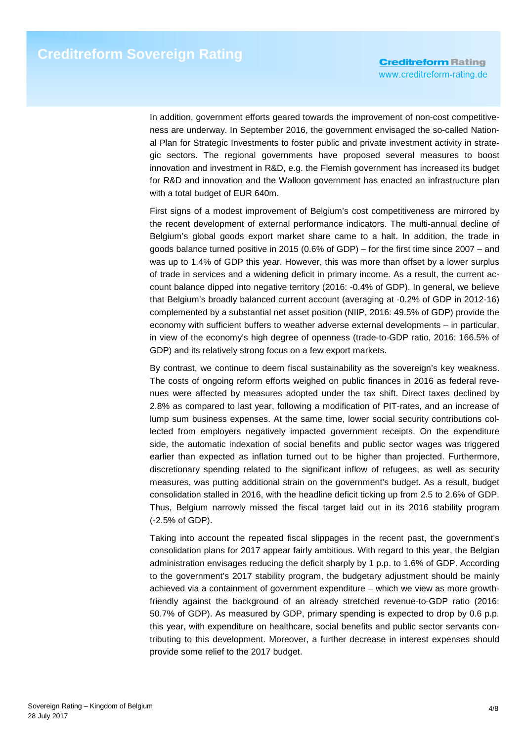In addition, government efforts geared towards the improvement of non-cost competitiveness are underway. In September 2016, the government envisaged the so-called National Plan for Strategic Investments to foster public and private investment activity in strategic sectors. The regional governments have proposed several measures to boost innovation and investment in R&D, e.g. the Flemish government has increased its budget for R&D and innovation and the Walloon government has enacted an infrastructure plan with a total budget of EUR 640m.

First signs of a modest improvement of Belgium's cost competitiveness are mirrored by the recent development of external performance indicators. The multi-annual decline of Belgium's global goods export market share came to a halt. In addition, the trade in goods balance turned positive in 2015 (0.6% of GDP) – for the first time since 2007 – and was up to 1.4% of GDP this year. However, this was more than offset by a lower surplus of trade in services and a widening deficit in primary income. As a result, the current account balance dipped into negative territory (2016: -0.4% of GDP). In general, we believe that Belgium's broadly balanced current account (averaging at -0.2% of GDP in 2012-16) complemented by a substantial net asset position (NIIP, 2016: 49.5% of GDP) provide the economy with sufficient buffers to weather adverse external developments – in particular, in view of the economy's high degree of openness (trade-to-GDP ratio, 2016: 166.5% of GDP) and its relatively strong focus on a few export markets.

By contrast, we continue to deem fiscal sustainability as the sovereign's key weakness. The costs of ongoing reform efforts weighed on public finances in 2016 as federal revenues were affected by measures adopted under the tax shift. Direct taxes declined by 2.8% as compared to last year, following a modification of PIT-rates, and an increase of lump sum business expenses. At the same time, lower social security contributions collected from employers negatively impacted government receipts. On the expenditure side, the automatic indexation of social benefits and public sector wages was triggered earlier than expected as inflation turned out to be higher than projected. Furthermore, discretionary spending related to the significant inflow of refugees, as well as security measures, was putting additional strain on the government's budget. As a result, budget consolidation stalled in 2016, with the headline deficit ticking up from 2.5 to 2.6% of GDP. Thus, Belgium narrowly missed the fiscal target laid out in its 2016 stability program (-2.5% of GDP).

Taking into account the repeated fiscal slippages in the recent past, the government's consolidation plans for 2017 appear fairly ambitious. With regard to this year, the Belgian administration envisages reducing the deficit sharply by 1 p.p. to 1.6% of GDP. According to the government's 2017 stability program, the budgetary adjustment should be mainly achieved via a containment of government expenditure – which we view as more growthfriendly against the background of an already stretched revenue-to-GDP ratio (2016: 50.7% of GDP). As measured by GDP, primary spending is expected to drop by 0.6 p.p. this year, with expenditure on healthcare, social benefits and public sector servants contributing to this development. Moreover, a further decrease in interest expenses should provide some relief to the 2017 budget.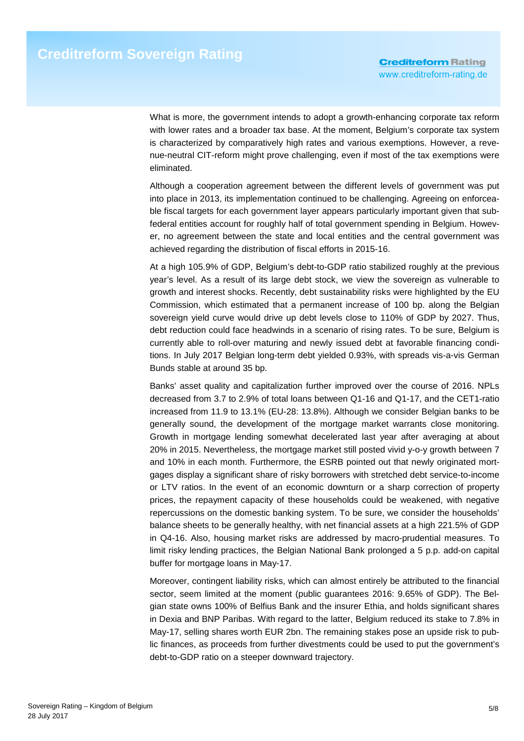What is more, the government intends to adopt a growth-enhancing corporate tax reform with lower rates and a broader tax base. At the moment, Belgium's corporate tax system is characterized by comparatively high rates and various exemptions. However, a revenue-neutral CIT-reform might prove challenging, even if most of the tax exemptions were eliminated.

Although a cooperation agreement between the different levels of government was put into place in 2013, its implementation continued to be challenging. Agreeing on enforceable fiscal targets for each government layer appears particularly important given that subfederal entities account for roughly half of total government spending in Belgium. However, no agreement between the state and local entities and the central government was achieved regarding the distribution of fiscal efforts in 2015-16.

At a high 105.9% of GDP, Belgium's debt-to-GDP ratio stabilized roughly at the previous year's level. As a result of its large debt stock, we view the sovereign as vulnerable to growth and interest shocks. Recently, debt sustainability risks were highlighted by the EU Commission, which estimated that a permanent increase of 100 bp. along the Belgian sovereign yield curve would drive up debt levels close to 110% of GDP by 2027. Thus, debt reduction could face headwinds in a scenario of rising rates. To be sure, Belgium is currently able to roll-over maturing and newly issued debt at favorable financing conditions. In July 2017 Belgian long-term debt yielded 0.93%, with spreads vis-a-vis German Bunds stable at around 35 bp.

Banks' asset quality and capitalization further improved over the course of 2016. NPLs decreased from 3.7 to 2.9% of total loans between Q1-16 and Q1-17, and the CET1-ratio increased from 11.9 to 13.1% (EU-28: 13.8%). Although we consider Belgian banks to be generally sound, the development of the mortgage market warrants close monitoring. Growth in mortgage lending somewhat decelerated last year after averaging at about 20% in 2015. Nevertheless, the mortgage market still posted vivid y-o-y growth between 7 and 10% in each month. Furthermore, the ESRB pointed out that newly originated mortgages display a significant share of risky borrowers with stretched debt service-to-income or LTV ratios. In the event of an economic downturn or a sharp correction of property prices, the repayment capacity of these households could be weakened, with negative repercussions on the domestic banking system. To be sure, we consider the households' balance sheets to be generally healthy, with net financial assets at a high 221.5% of GDP in Q4-16. Also, housing market risks are addressed by macro-prudential measures. To limit risky lending practices, the Belgian National Bank prolonged a 5 p.p. add-on capital buffer for mortgage loans in May-17.

Moreover, contingent liability risks, which can almost entirely be attributed to the financial sector, seem limited at the moment (public guarantees 2016: 9.65% of GDP). The Belgian state owns 100% of Belfius Bank and the insurer Ethia, and holds significant shares in Dexia and BNP Paribas. With regard to the latter, Belgium reduced its stake to 7.8% in May-17, selling shares worth EUR 2bn. The remaining stakes pose an upside risk to public finances, as proceeds from further divestments could be used to put the government's debt-to-GDP ratio on a steeper downward trajectory.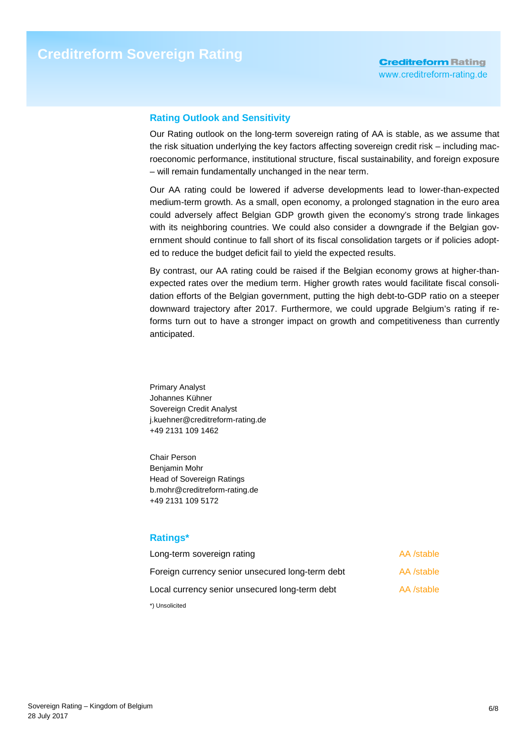## **Rating Outlook and Sensitivity**

Our Rating outlook on the long-term sovereign rating of AA is stable, as we assume that the risk situation underlying the key factors affecting sovereign credit risk – including macroeconomic performance, institutional structure, fiscal sustainability, and foreign exposure – will remain fundamentally unchanged in the near term.

Our AA rating could be lowered if adverse developments lead to lower-than-expected medium-term growth. As a small, open economy, a prolonged stagnation in the euro area could adversely affect Belgian GDP growth given the economy's strong trade linkages with its neighboring countries. We could also consider a downgrade if the Belgian government should continue to fall short of its fiscal consolidation targets or if policies adopted to reduce the budget deficit fail to yield the expected results.

By contrast, our AA rating could be raised if the Belgian economy grows at higher-thanexpected rates over the medium term. Higher growth rates would facilitate fiscal consolidation efforts of the Belgian government, putting the high debt-to-GDP ratio on a steeper downward trajectory after 2017. Furthermore, we could upgrade Belgium's rating if reforms turn out to have a stronger impact on growth and competitiveness than currently anticipated.

Primary Analyst Johannes Kühner Sovereign Credit Analyst j.kuehner@creditreform-rating.de +49 2131 109 1462

Chair Person Benjamin Mohr Head of Sovereign Ratings b.mohr@creditreform-rating.de +49 2131 109 5172

### **Ratings\***

| Long-term sovereign rating                       | AA /stable |
|--------------------------------------------------|------------|
| Foreign currency senior unsecured long-term debt | AA /stable |
| Local currency senior unsecured long-term debt   | AA /stable |
| *) Unsolicited                                   |            |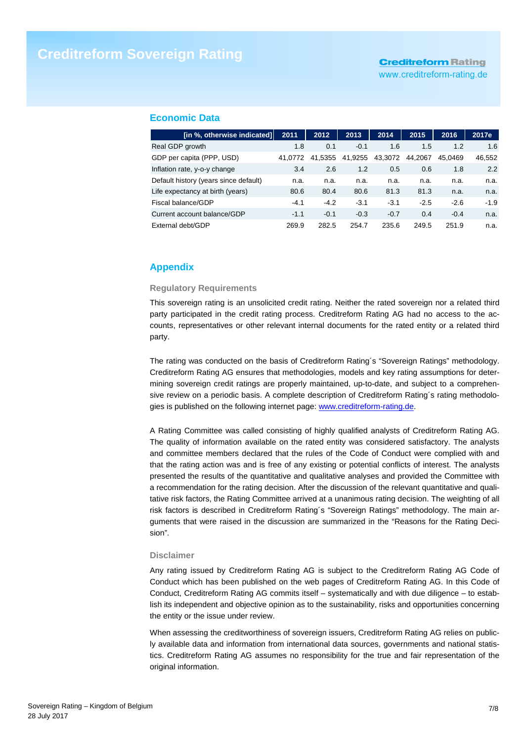www.creditreform-rating.de

#### **Economic Data**

| [in %, otherwise indicated]           | 2011    | 2012    | 2013    | 2014    | 2015    | 2016    | 2017e  |
|---------------------------------------|---------|---------|---------|---------|---------|---------|--------|
| Real GDP growth                       | 1.8     | 0.1     | $-0.1$  | 1.6     | 1.5     | 1.2     | 1.6    |
| GDP per capita (PPP, USD)             | 41.0772 | 41.5355 | 41,9255 | 43,3072 | 44.2067 | 45.0469 | 46,552 |
| Inflation rate, y-o-y change          | 3.4     | 2.6     | 1.2     | 0.5     | 0.6     | 1.8     | 2.2    |
| Default history (years since default) | n.a.    | n.a.    | n.a.    | n.a.    | n.a.    | n.a.    | n.a.   |
| Life expectancy at birth (years)      | 80.6    | 80.4    | 80.6    | 81.3    | 81.3    | n.a.    | n.a.   |
| Fiscal balance/GDP                    | $-4.1$  | $-4.2$  | $-3.1$  | $-3.1$  | $-2.5$  | $-2.6$  | $-1.9$ |
| Current account balance/GDP           | $-1.1$  | $-0.1$  | $-0.3$  | $-0.7$  | 0.4     | $-0.4$  | n.a.   |
| External debt/GDP                     | 269.9   | 282.5   | 254.7   | 235.6   | 249.5   | 251.9   | n.a.   |

## **Appendix**

#### **Regulatory Requirements**

This sovereign rating is an unsolicited credit rating. Neither the rated sovereign nor a related third party participated in the credit rating process. Creditreform Rating AG had no access to the accounts, representatives or other relevant internal documents for the rated entity or a related third party.

The rating was conducted on the basis of Creditreform Rating´s "Sovereign Ratings" methodology. Creditreform Rating AG ensures that methodologies, models and key rating assumptions for determining sovereign credit ratings are properly maintained, up-to-date, and subject to a comprehensive review on a periodic basis. A complete description of Creditreform Rating´s rating methodologies is published on the following internet page: www.creditreform-rating.de.

A Rating Committee was called consisting of highly qualified analysts of Creditreform Rating AG. The quality of information available on the rated entity was considered satisfactory. The analysts and committee members declared that the rules of the Code of Conduct were complied with and that the rating action was and is free of any existing or potential conflicts of interest. The analysts presented the results of the quantitative and qualitative analyses and provided the Committee with a recommendation for the rating decision. After the discussion of the relevant quantitative and qualitative risk factors, the Rating Committee arrived at a unanimous rating decision. The weighting of all risk factors is described in Creditreform Rating´s "Sovereign Ratings" methodology. The main arguments that were raised in the discussion are summarized in the "Reasons for the Rating Decision".

#### **Disclaimer**

Any rating issued by Creditreform Rating AG is subject to the Creditreform Rating AG Code of Conduct which has been published on the web pages of Creditreform Rating AG. In this Code of Conduct, Creditreform Rating AG commits itself – systematically and with due diligence – to establish its independent and objective opinion as to the sustainability, risks and opportunities concerning the entity or the issue under review.

When assessing the creditworthiness of sovereign issuers, Creditreform Rating AG relies on publicly available data and information from international data sources, governments and national statistics. Creditreform Rating AG assumes no responsibility for the true and fair representation of the original information.